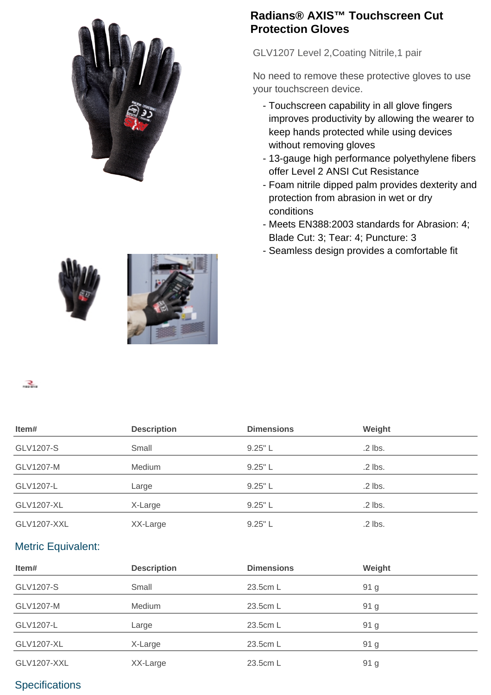

## **Radians® AXIS™ Touchscreen Cut Protection Gloves**

GLV1207 Level 2,Coating Nitrile,1 pair

No need to remove these protective gloves to use your touchscreen device.

- Touchscreen capability in all glove fingers improves productivity by allowing the wearer to keep hands protected while using devices without removing gloves
- 13-gauge high performance polyethylene fibers offer Level 2 ANSI Cut Resistance
- Foam nitrile dipped palm provides dexterity and protection from abrasion in wet or dry conditions
- Meets EN388:2003 standards for Abrasion: 4; Blade Cut: 3; Tear: 4; Puncture: 3
- Seamless design provides a comfortable fit



 $\mathbf{R}_{\text{max}}$ 

| Item#                     | <b>Description</b> | <b>Dimensions</b> | Weight        |
|---------------------------|--------------------|-------------------|---------------|
| GLV1207-S                 | Small              | 9.25" L           | $.2$ lbs.     |
| GLV1207-M                 | Medium             | $9.25"$ L         | .2 lbs.       |
| GLV1207-L                 | Large              | $9.25"$ L         | .2 lbs.       |
| <b>GLV1207-XL</b>         | X-Large            | $9.25"$ L         | .2 lbs.       |
| <b>GLV1207-XXL</b>        | XX-Large           | 9.25"L            | $.2$ lbs.     |
| <b>Metric Equivalent:</b> |                    |                   |               |
| ltem#                     | <b>Description</b> | <b>Dimensions</b> | <b>Weight</b> |

| Item#             | <b>Description</b> | <b>Dimensions</b> | Weight |
|-------------------|--------------------|-------------------|--------|
| GLV1207-S         | Small              | 23.5cm L          | 91 g   |
| GLV1207-M         | Medium             | 23.5cm L          | 91 g   |
| GLV1207-L         | Large              | 23.5cm L          | 91 g   |
| <b>GLV1207-XL</b> | X-Large            | 23.5cm L          | 91 g   |
| GLV1207-XXL       | XX-Large           | 23.5cm L          | 91 g   |

## **Specifications**